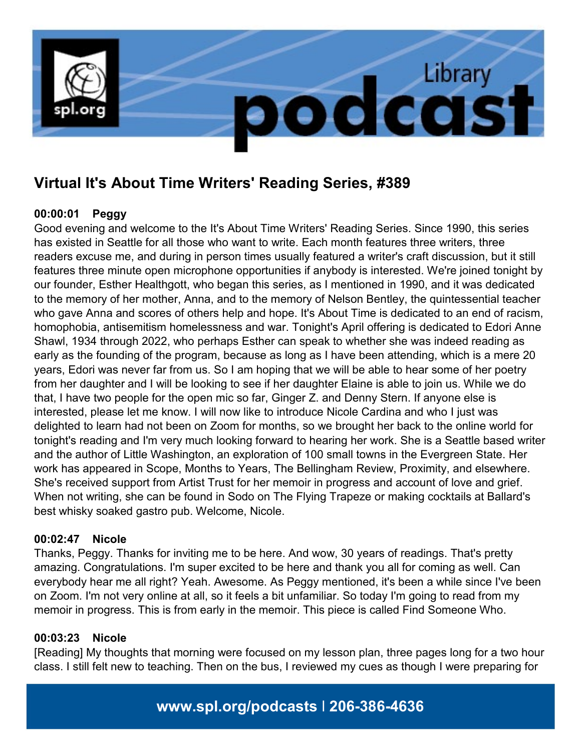

# **Virtual It's About Time Writers' Reading Series, #389**

# **00:00:01 Peggy**

Good evening and welcome to the It's About Time Writers' Reading Series. Since 1990, this series has existed in Seattle for all those who want to write. Each month features three writers, three readers excuse me, and during in person times usually featured a writer's craft discussion, but it still features three minute open microphone opportunities if anybody is interested. We're joined tonight by our founder, Esther Healthgott, who began this series, as I mentioned in 1990, and it was dedicated to the memory of her mother, Anna, and to the memory of Nelson Bentley, the quintessential teacher who gave Anna and scores of others help and hope. It's About Time is dedicated to an end of racism, homophobia, antisemitism homelessness and war. Tonight's April offering is dedicated to Edori Anne Shawl, 1934 through 2022, who perhaps Esther can speak to whether she was indeed reading as early as the founding of the program, because as long as I have been attending, which is a mere 20 years, Edori was never far from us. So I am hoping that we will be able to hear some of her poetry from her daughter and I will be looking to see if her daughter Elaine is able to join us. While we do that, I have two people for the open mic so far, Ginger Z. and Denny Stern. If anyone else is interested, please let me know. I will now like to introduce Nicole Cardina and who I just was delighted to learn had not been on Zoom for months, so we brought her back to the online world for tonight's reading and I'm very much looking forward to hearing her work. She is a Seattle based writer and the author of Little Washington, an exploration of 100 small towns in the Evergreen State. Her work has appeared in Scope, Months to Years, The Bellingham Review, Proximity, and elsewhere. She's received support from Artist Trust for her memoir in progress and account of love and grief. When not writing, she can be found in Sodo on The Flying Trapeze or making cocktails at Ballard's best whisky soaked gastro pub. Welcome, Nicole.

# **00:02:47 Nicole**

Thanks, Peggy. Thanks for inviting me to be here. And wow, 30 years of readings. That's pretty amazing. Congratulations. I'm super excited to be here and thank you all for coming as well. Can everybody hear me all right? Yeah. Awesome. As Peggy mentioned, it's been a while since I've been on Zoom. I'm not very online at all, so it feels a bit unfamiliar. So today I'm going to read from my memoir in progress. This is from early in the memoir. This piece is called Find Someone Who.

## **00:03:23 Nicole**

[Reading] My thoughts that morning were focused on my lesson plan, three pages long for a two hour class. I still felt new to teaching. Then on the bus, I reviewed my cues as though I were preparing for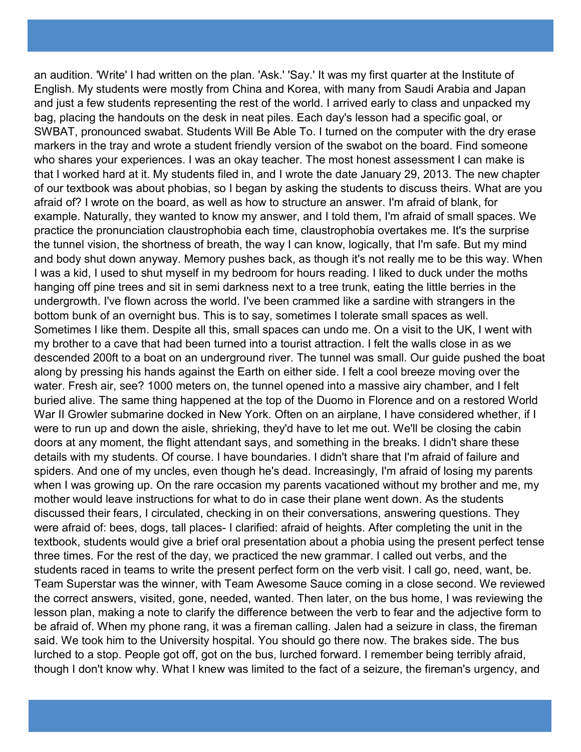an audition. 'Write' I had written on the plan. 'Ask.' 'Say.' It was my first quarter at the Institute of English. My students were mostly from China and Korea, with many from Saudi Arabia and Japan and just a few students representing the rest of the world. I arrived early to class and unpacked my bag, placing the handouts on the desk in neat piles. Each day's lesson had a specific goal, or SWBAT, pronounced swabat. Students Will Be Able To. I turned on the computer with the dry erase markers in the tray and wrote a student friendly version of the swabot on the board. Find someone who shares your experiences. I was an okay teacher. The most honest assessment I can make is that I worked hard at it. My students filed in, and I wrote the date January 29, 2013. The new chapter of our textbook was about phobias, so I began by asking the students to discuss theirs. What are you afraid of? I wrote on the board, as well as how to structure an answer. I'm afraid of blank, for example. Naturally, they wanted to know my answer, and I told them, I'm afraid of small spaces. We practice the pronunciation claustrophobia each time, claustrophobia overtakes me. It's the surprise the tunnel vision, the shortness of breath, the way I can know, logically, that I'm safe. But my mind and body shut down anyway. Memory pushes back, as though it's not really me to be this way. When I was a kid, I used to shut myself in my bedroom for hours reading. I liked to duck under the moths hanging off pine trees and sit in semi darkness next to a tree trunk, eating the little berries in the undergrowth. I've flown across the world. I've been crammed like a sardine with strangers in the bottom bunk of an overnight bus. This is to say, sometimes I tolerate small spaces as well. Sometimes I like them. Despite all this, small spaces can undo me. On a visit to the UK, I went with my brother to a cave that had been turned into a tourist attraction. I felt the walls close in as we descended 200ft to a boat on an underground river. The tunnel was small. Our guide pushed the boat along by pressing his hands against the Earth on either side. I felt a cool breeze moving over the water. Fresh air, see? 1000 meters on, the tunnel opened into a massive airy chamber, and I felt buried alive. The same thing happened at the top of the Duomo in Florence and on a restored World War II Growler submarine docked in New York. Often on an airplane, I have considered whether, if I were to run up and down the aisle, shrieking, they'd have to let me out. We'll be closing the cabin doors at any moment, the flight attendant says, and something in the breaks. I didn't share these details with my students. Of course. I have boundaries. I didn't share that I'm afraid of failure and spiders. And one of my uncles, even though he's dead. Increasingly, I'm afraid of losing my parents when I was growing up. On the rare occasion my parents vacationed without my brother and me, my mother would leave instructions for what to do in case their plane went down. As the students discussed their fears, I circulated, checking in on their conversations, answering questions. They were afraid of: bees, dogs, tall places- I clarified: afraid of heights. After completing the unit in the textbook, students would give a brief oral presentation about a phobia using the present perfect tense three times. For the rest of the day, we practiced the new grammar. I called out verbs, and the students raced in teams to write the present perfect form on the verb visit. I call go, need, want, be. Team Superstar was the winner, with Team Awesome Sauce coming in a close second. We reviewed the correct answers, visited, gone, needed, wanted. Then later, on the bus home, I was reviewing the lesson plan, making a note to clarify the difference between the verb to fear and the adjective form to be afraid of. When my phone rang, it was a fireman calling. Jalen had a seizure in class, the fireman said. We took him to the University hospital. You should go there now. The brakes side. The bus lurched to a stop. People got off, got on the bus, lurched forward. I remember being terribly afraid, though I don't know why. What I knew was limited to the fact of a seizure, the fireman's urgency, and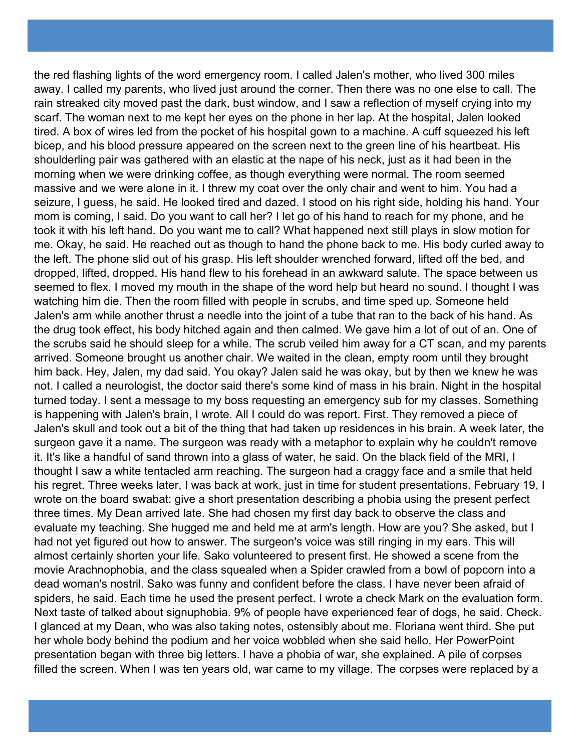the red flashing lights of the word emergency room. I called Jalen's mother, who lived 300 miles away. I called my parents, who lived just around the corner. Then there was no one else to call. The rain streaked city moved past the dark, bust window, and I saw a reflection of myself crying into my scarf. The woman next to me kept her eyes on the phone in her lap. At the hospital, Jalen looked tired. A box of wires led from the pocket of his hospital gown to a machine. A cuff squeezed his left bicep, and his blood pressure appeared on the screen next to the green line of his heartbeat. His shoulderling pair was gathered with an elastic at the nape of his neck, just as it had been in the morning when we were drinking coffee, as though everything were normal. The room seemed massive and we were alone in it. I threw my coat over the only chair and went to him. You had a seizure, I guess, he said. He looked tired and dazed. I stood on his right side, holding his hand. Your mom is coming, I said. Do you want to call her? I let go of his hand to reach for my phone, and he took it with his left hand. Do you want me to call? What happened next still plays in slow motion for me. Okay, he said. He reached out as though to hand the phone back to me. His body curled away to the left. The phone slid out of his grasp. His left shoulder wrenched forward, lifted off the bed, and dropped, lifted, dropped. His hand flew to his forehead in an awkward salute. The space between us seemed to flex. I moved my mouth in the shape of the word help but heard no sound. I thought I was watching him die. Then the room filled with people in scrubs, and time sped up. Someone held Jalen's arm while another thrust a needle into the joint of a tube that ran to the back of his hand. As the drug took effect, his body hitched again and then calmed. We gave him a lot of out of an. One of the scrubs said he should sleep for a while. The scrub veiled him away for a CT scan, and my parents arrived. Someone brought us another chair. We waited in the clean, empty room until they brought him back. Hey, Jalen, my dad said. You okay? Jalen said he was okay, but by then we knew he was not. I called a neurologist, the doctor said there's some kind of mass in his brain. Night in the hospital turned today. I sent a message to my boss requesting an emergency sub for my classes. Something is happening with Jalen's brain, I wrote. All I could do was report. First. They removed a piece of Jalen's skull and took out a bit of the thing that had taken up residences in his brain. A week later, the surgeon gave it a name. The surgeon was ready with a metaphor to explain why he couldn't remove it. It's like a handful of sand thrown into a glass of water, he said. On the black field of the MRI, I thought I saw a white tentacled arm reaching. The surgeon had a craggy face and a smile that held his regret. Three weeks later, I was back at work, just in time for student presentations. February 19, I wrote on the board swabat: give a short presentation describing a phobia using the present perfect three times. My Dean arrived late. She had chosen my first day back to observe the class and evaluate my teaching. She hugged me and held me at arm's length. How are you? She asked, but I had not yet figured out how to answer. The surgeon's voice was still ringing in my ears. This will almost certainly shorten your life. Sako volunteered to present first. He showed a scene from the movie Arachnophobia, and the class squealed when a Spider crawled from a bowl of popcorn into a dead woman's nostril. Sako was funny and confident before the class. I have never been afraid of spiders, he said. Each time he used the present perfect. I wrote a check Mark on the evaluation form. Next taste of talked about signuphobia. 9% of people have experienced fear of dogs, he said. Check. I glanced at my Dean, who was also taking notes, ostensibly about me. Floriana went third. She put her whole body behind the podium and her voice wobbled when she said hello. Her PowerPoint presentation began with three big letters. I have a phobia of war, she explained. A pile of corpses filled the screen. When I was ten years old, war came to my village. The corpses were replaced by a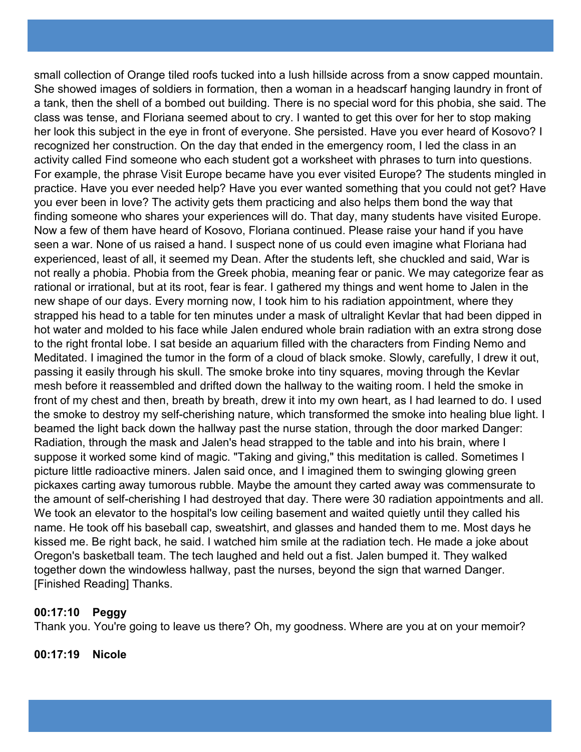small collection of Orange tiled roofs tucked into a lush hillside across from a snow capped mountain. She showed images of soldiers in formation, then a woman in a headscarf hanging laundry in front of a tank, then the shell of a bombed out building. There is no special word for this phobia, she said. The class was tense, and Floriana seemed about to cry. I wanted to get this over for her to stop making her look this subject in the eye in front of everyone. She persisted. Have you ever heard of Kosovo? I recognized her construction. On the day that ended in the emergency room, I led the class in an activity called Find someone who each student got a worksheet with phrases to turn into questions. For example, the phrase Visit Europe became have you ever visited Europe? The students mingled in practice. Have you ever needed help? Have you ever wanted something that you could not get? Have you ever been in love? The activity gets them practicing and also helps them bond the way that finding someone who shares your experiences will do. That day, many students have visited Europe. Now a few of them have heard of Kosovo, Floriana continued. Please raise your hand if you have seen a war. None of us raised a hand. I suspect none of us could even imagine what Floriana had experienced, least of all, it seemed my Dean. After the students left, she chuckled and said, War is not really a phobia. Phobia from the Greek phobia, meaning fear or panic. We may categorize fear as rational or irrational, but at its root, fear is fear. I gathered my things and went home to Jalen in the new shape of our days. Every morning now, I took him to his radiation appointment, where they strapped his head to a table for ten minutes under a mask of ultralight Kevlar that had been dipped in hot water and molded to his face while Jalen endured whole brain radiation with an extra strong dose to the right frontal lobe. I sat beside an aquarium filled with the characters from Finding Nemo and Meditated. I imagined the tumor in the form of a cloud of black smoke. Slowly, carefully, I drew it out, passing it easily through his skull. The smoke broke into tiny squares, moving through the Kevlar mesh before it reassembled and drifted down the hallway to the waiting room. I held the smoke in front of my chest and then, breath by breath, drew it into my own heart, as I had learned to do. I used the smoke to destroy my self-cherishing nature, which transformed the smoke into healing blue light. I beamed the light back down the hallway past the nurse station, through the door marked Danger: Radiation, through the mask and Jalen's head strapped to the table and into his brain, where I suppose it worked some kind of magic. "Taking and giving," this meditation is called. Sometimes I picture little radioactive miners. Jalen said once, and I imagined them to swinging glowing green pickaxes carting away tumorous rubble. Maybe the amount they carted away was commensurate to the amount of self-cherishing I had destroyed that day. There were 30 radiation appointments and all. We took an elevator to the hospital's low ceiling basement and waited quietly until they called his name. He took off his baseball cap, sweatshirt, and glasses and handed them to me. Most days he kissed me. Be right back, he said. I watched him smile at the radiation tech. He made a joke about Oregon's basketball team. The tech laughed and held out a fist. Jalen bumped it. They walked together down the windowless hallway, past the nurses, beyond the sign that warned Danger. [Finished Reading] Thanks.

## **00:17:10 Peggy**

Thank you. You're going to leave us there? Oh, my goodness. Where are you at on your memoir?

**00:17:19 Nicole**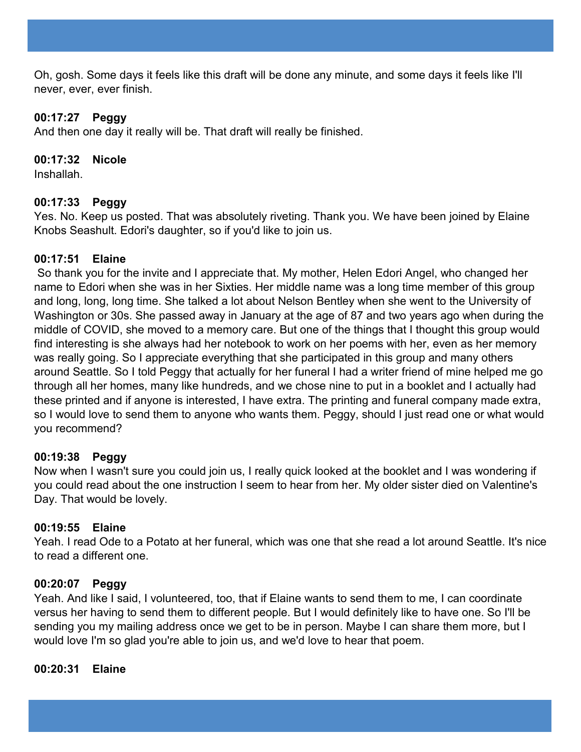Oh, gosh. Some days it feels like this draft will be done any minute, and some days it feels like I'll never, ever, ever finish.

## **00:17:27 Peggy**

And then one day it really will be. That draft will really be finished.

## **00:17:32 Nicole**

Inshallah.

## **00:17:33 Peggy**

Yes. No. Keep us posted. That was absolutely riveting. Thank you. We have been joined by Elaine Knobs Seashult. Edori's daughter, so if you'd like to join us.

## **00:17:51 Elaine**

So thank you for the invite and I appreciate that. My mother, Helen Edori Angel, who changed her name to Edori when she was in her Sixties. Her middle name was a long time member of this group and long, long, long time. She talked a lot about Nelson Bentley when she went to the University of Washington or 30s. She passed away in January at the age of 87 and two years ago when during the middle of COVID, she moved to a memory care. But one of the things that I thought this group would find interesting is she always had her notebook to work on her poems with her, even as her memory was really going. So I appreciate everything that she participated in this group and many others around Seattle. So I told Peggy that actually for her funeral I had a writer friend of mine helped me go through all her homes, many like hundreds, and we chose nine to put in a booklet and I actually had these printed and if anyone is interested, I have extra. The printing and funeral company made extra, so I would love to send them to anyone who wants them. Peggy, should I just read one or what would you recommend?

# **00:19:38 Peggy**

Now when I wasn't sure you could join us, I really quick looked at the booklet and I was wondering if you could read about the one instruction I seem to hear from her. My older sister died on Valentine's Day. That would be lovely.

## **00:19:55 Elaine**

Yeah. I read Ode to a Potato at her funeral, which was one that she read a lot around Seattle. It's nice to read a different one.

## **00:20:07 Peggy**

Yeah. And like I said, I volunteered, too, that if Elaine wants to send them to me, I can coordinate versus her having to send them to different people. But I would definitely like to have one. So I'll be sending you my mailing address once we get to be in person. Maybe I can share them more, but I would love I'm so glad you're able to join us, and we'd love to hear that poem.

## **00:20:31 Elaine**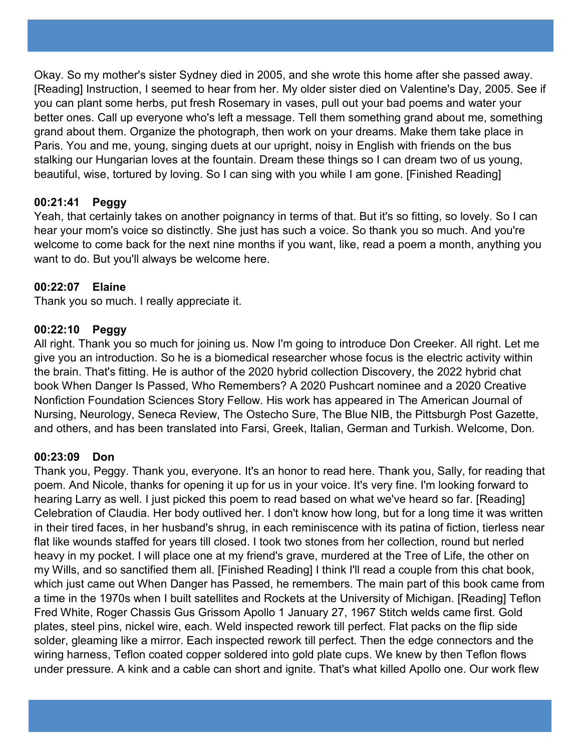Okay. So my mother's sister Sydney died in 2005, and she wrote this home after she passed away. [Reading] Instruction, I seemed to hear from her. My older sister died on Valentine's Day, 2005. See if you can plant some herbs, put fresh Rosemary in vases, pull out your bad poems and water your better ones. Call up everyone who's left a message. Tell them something grand about me, something grand about them. Organize the photograph, then work on your dreams. Make them take place in Paris. You and me, young, singing duets at our upright, noisy in English with friends on the bus stalking our Hungarian loves at the fountain. Dream these things so I can dream two of us young, beautiful, wise, tortured by loving. So I can sing with you while I am gone. [Finished Reading]

# **00:21:41 Peggy**

Yeah, that certainly takes on another poignancy in terms of that. But it's so fitting, so lovely. So I can hear your mom's voice so distinctly. She just has such a voice. So thank you so much. And you're welcome to come back for the next nine months if you want, like, read a poem a month, anything you want to do. But you'll always be welcome here.

# **00:22:07 Elaine**

Thank you so much. I really appreciate it.

## **00:22:10 Peggy**

All right. Thank you so much for joining us. Now I'm going to introduce Don Creeker. All right. Let me give you an introduction. So he is a biomedical researcher whose focus is the electric activity within the brain. That's fitting. He is author of the 2020 hybrid collection Discovery, the 2022 hybrid chat book When Danger Is Passed, Who Remembers? A 2020 Pushcart nominee and a 2020 Creative Nonfiction Foundation Sciences Story Fellow. His work has appeared in The American Journal of Nursing, Neurology, Seneca Review, The Ostecho Sure, The Blue NIB, the Pittsburgh Post Gazette, and others, and has been translated into Farsi, Greek, Italian, German and Turkish. Welcome, Don.

## **00:23:09 Don**

Thank you, Peggy. Thank you, everyone. It's an honor to read here. Thank you, Sally, for reading that poem. And Nicole, thanks for opening it up for us in your voice. It's very fine. I'm looking forward to hearing Larry as well. I just picked this poem to read based on what we've heard so far. [Reading] Celebration of Claudia. Her body outlived her. I don't know how long, but for a long time it was written in their tired faces, in her husband's shrug, in each reminiscence with its patina of fiction, tierless near flat like wounds staffed for years till closed. I took two stones from her collection, round but nerled heavy in my pocket. I will place one at my friend's grave, murdered at the Tree of Life, the other on my Wills, and so sanctified them all. [Finished Reading] I think I'll read a couple from this chat book, which just came out When Danger has Passed, he remembers. The main part of this book came from a time in the 1970s when I built satellites and Rockets at the University of Michigan. [Reading] Teflon Fred White, Roger Chassis Gus Grissom Apollo 1 January 27, 1967 Stitch welds came first. Gold plates, steel pins, nickel wire, each. Weld inspected rework till perfect. Flat packs on the flip side solder, gleaming like a mirror. Each inspected rework till perfect. Then the edge connectors and the wiring harness, Teflon coated copper soldered into gold plate cups. We knew by then Teflon flows under pressure. A kink and a cable can short and ignite. That's what killed Apollo one. Our work flew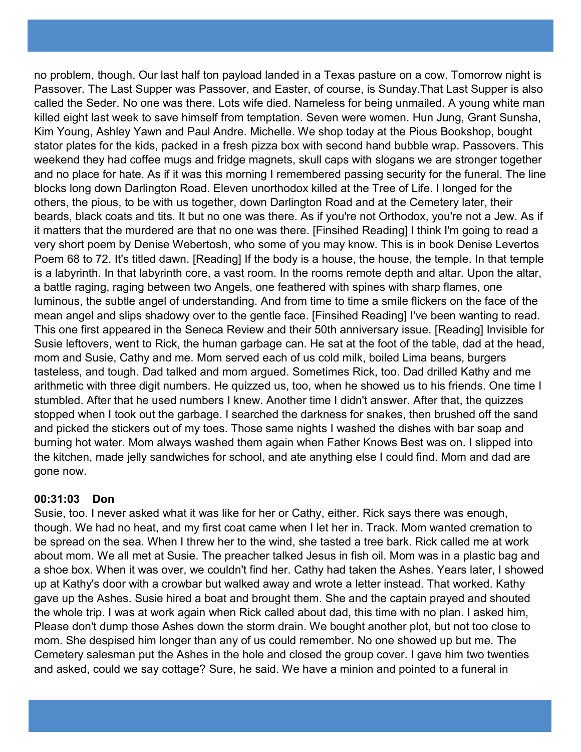no problem, though. Our last half ton payload landed in a Texas pasture on a cow. Tomorrow night is Passover. The Last Supper was Passover, and Easter, of course, is Sunday.That Last Supper is also called the Seder. No one was there. Lots wife died. Nameless for being unmailed. A young white man killed eight last week to save himself from temptation. Seven were women. Hun Jung, Grant Sunsha, Kim Young, Ashley Yawn and Paul Andre. Michelle. We shop today at the Pious Bookshop, bought stator plates for the kids, packed in a fresh pizza box with second hand bubble wrap. Passovers. This weekend they had coffee mugs and fridge magnets, skull caps with slogans we are stronger together and no place for hate. As if it was this morning I remembered passing security for the funeral. The line blocks long down Darlington Road. Eleven unorthodox killed at the Tree of Life. I longed for the others, the pious, to be with us together, down Darlington Road and at the Cemetery later, their beards, black coats and tits. It but no one was there. As if you're not Orthodox, you're not a Jew. As if it matters that the murdered are that no one was there. [Finsihed Reading] I think I'm going to read a very short poem by Denise Webertosh, who some of you may know. This is in book Denise Levertos Poem 68 to 72. It's titled dawn. [Reading] If the body is a house, the house, the temple. In that temple is a labyrinth. In that labyrinth core, a vast room. In the rooms remote depth and altar. Upon the altar, a battle raging, raging between two Angels, one feathered with spines with sharp flames, one luminous, the subtle angel of understanding. And from time to time a smile flickers on the face of the mean angel and slips shadowy over to the gentle face. [Finsihed Reading] I've been wanting to read. This one first appeared in the Seneca Review and their 50th anniversary issue. [Reading] Invisible for Susie leftovers, went to Rick, the human garbage can. He sat at the foot of the table, dad at the head, mom and Susie, Cathy and me. Mom served each of us cold milk, boiled Lima beans, burgers tasteless, and tough. Dad talked and mom argued. Sometimes Rick, too. Dad drilled Kathy and me arithmetic with three digit numbers. He quizzed us, too, when he showed us to his friends. One time I stumbled. After that he used numbers I knew. Another time I didn't answer. After that, the quizzes stopped when I took out the garbage. I searched the darkness for snakes, then brushed off the sand and picked the stickers out of my toes. Those same nights I washed the dishes with bar soap and burning hot water. Mom always washed them again when Father Knows Best was on. I slipped into the kitchen, made jelly sandwiches for school, and ate anything else I could find. Mom and dad are gone now.

## **00:31:03 Don**

Susie, too. I never asked what it was like for her or Cathy, either. Rick says there was enough, though. We had no heat, and my first coat came when I let her in. Track. Mom wanted cremation to be spread on the sea. When I threw her to the wind, she tasted a tree bark. Rick called me at work about mom. We all met at Susie. The preacher talked Jesus in fish oil. Mom was in a plastic bag and a shoe box. When it was over, we couldn't find her. Cathy had taken the Ashes. Years later, I showed up at Kathy's door with a crowbar but walked away and wrote a letter instead. That worked. Kathy gave up the Ashes. Susie hired a boat and brought them. She and the captain prayed and shouted the whole trip. I was at work again when Rick called about dad, this time with no plan. I asked him, Please don't dump those Ashes down the storm drain. We bought another plot, but not too close to mom. She despised him longer than any of us could remember. No one showed up but me. The Cemetery salesman put the Ashes in the hole and closed the group cover. I gave him two twenties and asked, could we say cottage? Sure, he said. We have a minion and pointed to a funeral in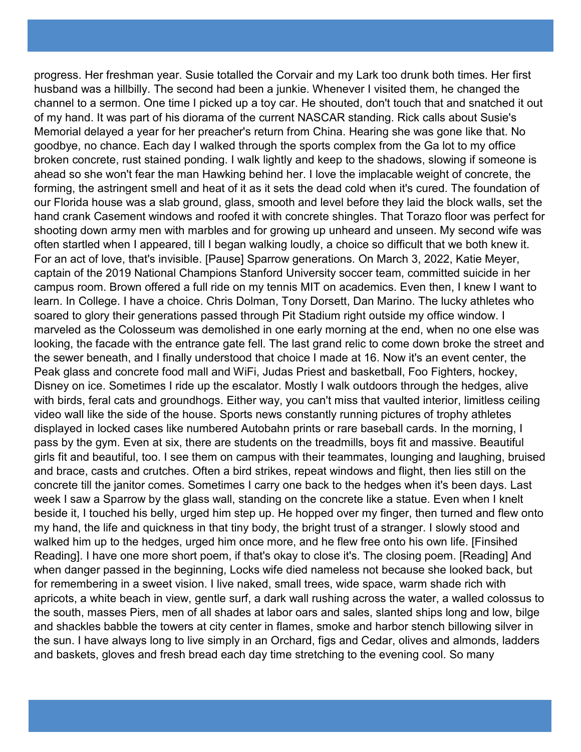progress. Her freshman year. Susie totalled the Corvair and my Lark too drunk both times. Her first husband was a hillbilly. The second had been a junkie. Whenever I visited them, he changed the channel to a sermon. One time I picked up a toy car. He shouted, don't touch that and snatched it out of my hand. It was part of his diorama of the current NASCAR standing. Rick calls about Susie's Memorial delayed a year for her preacher's return from China. Hearing she was gone like that. No goodbye, no chance. Each day I walked through the sports complex from the Ga lot to my office broken concrete, rust stained ponding. I walk lightly and keep to the shadows, slowing if someone is ahead so she won't fear the man Hawking behind her. I love the implacable weight of concrete, the forming, the astringent smell and heat of it as it sets the dead cold when it's cured. The foundation of our Florida house was a slab ground, glass, smooth and level before they laid the block walls, set the hand crank Casement windows and roofed it with concrete shingles. That Torazo floor was perfect for shooting down army men with marbles and for growing up unheard and unseen. My second wife was often startled when I appeared, till I began walking loudly, a choice so difficult that we both knew it. For an act of love, that's invisible. [Pause] Sparrow generations. On March 3, 2022, Katie Meyer, captain of the 2019 National Champions Stanford University soccer team, committed suicide in her campus room. Brown offered a full ride on my tennis MIT on academics. Even then, I knew I want to learn. In College. I have a choice. Chris Dolman, Tony Dorsett, Dan Marino. The lucky athletes who soared to glory their generations passed through Pit Stadium right outside my office window. I marveled as the Colosseum was demolished in one early morning at the end, when no one else was looking, the facade with the entrance gate fell. The last grand relic to come down broke the street and the sewer beneath, and I finally understood that choice I made at 16. Now it's an event center, the Peak glass and concrete food mall and WiFi, Judas Priest and basketball, Foo Fighters, hockey, Disney on ice. Sometimes I ride up the escalator. Mostly I walk outdoors through the hedges, alive with birds, feral cats and groundhogs. Either way, you can't miss that vaulted interior, limitless ceiling video wall like the side of the house. Sports news constantly running pictures of trophy athletes displayed in locked cases like numbered Autobahn prints or rare baseball cards. In the morning, I pass by the gym. Even at six, there are students on the treadmills, boys fit and massive. Beautiful girls fit and beautiful, too. I see them on campus with their teammates, lounging and laughing, bruised and brace, casts and crutches. Often a bird strikes, repeat windows and flight, then lies still on the concrete till the janitor comes. Sometimes I carry one back to the hedges when it's been days. Last week I saw a Sparrow by the glass wall, standing on the concrete like a statue. Even when I knelt beside it, I touched his belly, urged him step up. He hopped over my finger, then turned and flew onto my hand, the life and quickness in that tiny body, the bright trust of a stranger. I slowly stood and walked him up to the hedges, urged him once more, and he flew free onto his own life. [Finsihed Reading]. I have one more short poem, if that's okay to close it's. The closing poem. [Reading] And when danger passed in the beginning, Locks wife died nameless not because she looked back, but for remembering in a sweet vision. I live naked, small trees, wide space, warm shade rich with apricots, a white beach in view, gentle surf, a dark wall rushing across the water, a walled colossus to the south, masses Piers, men of all shades at labor oars and sales, slanted ships long and low, bilge and shackles babble the towers at city center in flames, smoke and harbor stench billowing silver in the sun. I have always long to live simply in an Orchard, figs and Cedar, olives and almonds, ladders and baskets, gloves and fresh bread each day time stretching to the evening cool. So many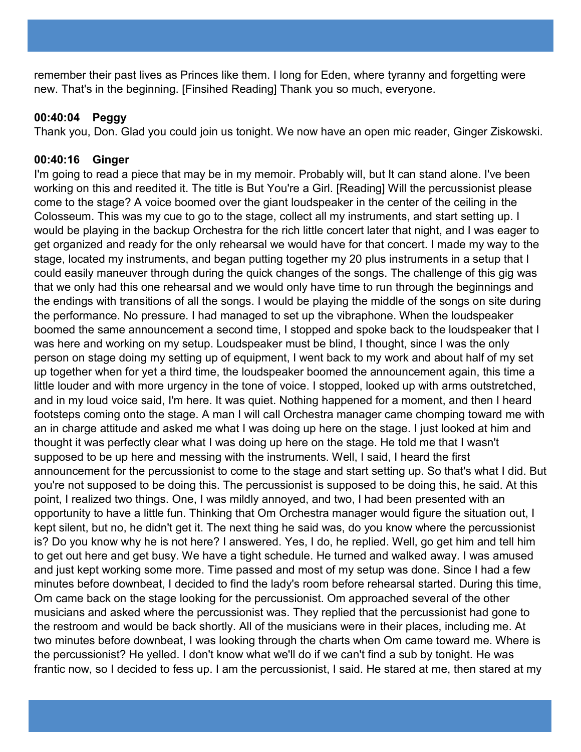remember their past lives as Princes like them. I long for Eden, where tyranny and forgetting were new. That's in the beginning. [Finsihed Reading] Thank you so much, everyone.

## **00:40:04 Peggy**

Thank you, Don. Glad you could join us tonight. We now have an open mic reader, Ginger Ziskowski.

## **00:40:16 Ginger**

I'm going to read a piece that may be in my memoir. Probably will, but It can stand alone. I've been working on this and reedited it. The title is But You're a Girl. [Reading] Will the percussionist please come to the stage? A voice boomed over the giant loudspeaker in the center of the ceiling in the Colosseum. This was my cue to go to the stage, collect all my instruments, and start setting up. I would be playing in the backup Orchestra for the rich little concert later that night, and I was eager to get organized and ready for the only rehearsal we would have for that concert. I made my way to the stage, located my instruments, and began putting together my 20 plus instruments in a setup that I could easily maneuver through during the quick changes of the songs. The challenge of this gig was that we only had this one rehearsal and we would only have time to run through the beginnings and the endings with transitions of all the songs. I would be playing the middle of the songs on site during the performance. No pressure. I had managed to set up the vibraphone. When the loudspeaker boomed the same announcement a second time, I stopped and spoke back to the loudspeaker that I was here and working on my setup. Loudspeaker must be blind, I thought, since I was the only person on stage doing my setting up of equipment, I went back to my work and about half of my set up together when for yet a third time, the loudspeaker boomed the announcement again, this time a little louder and with more urgency in the tone of voice. I stopped, looked up with arms outstretched, and in my loud voice said, I'm here. It was quiet. Nothing happened for a moment, and then I heard footsteps coming onto the stage. A man I will call Orchestra manager came chomping toward me with an in charge attitude and asked me what I was doing up here on the stage. I just looked at him and thought it was perfectly clear what I was doing up here on the stage. He told me that I wasn't supposed to be up here and messing with the instruments. Well, I said, I heard the first announcement for the percussionist to come to the stage and start setting up. So that's what I did. But you're not supposed to be doing this. The percussionist is supposed to be doing this, he said. At this point, I realized two things. One, I was mildly annoyed, and two, I had been presented with an opportunity to have a little fun. Thinking that Om Orchestra manager would figure the situation out, I kept silent, but no, he didn't get it. The next thing he said was, do you know where the percussionist is? Do you know why he is not here? I answered. Yes, I do, he replied. Well, go get him and tell him to get out here and get busy. We have a tight schedule. He turned and walked away. I was amused and just kept working some more. Time passed and most of my setup was done. Since I had a few minutes before downbeat, I decided to find the lady's room before rehearsal started. During this time, Om came back on the stage looking for the percussionist. Om approached several of the other musicians and asked where the percussionist was. They replied that the percussionist had gone to the restroom and would be back shortly. All of the musicians were in their places, including me. At two minutes before downbeat, I was looking through the charts when Om came toward me. Where is the percussionist? He yelled. I don't know what we'll do if we can't find a sub by tonight. He was frantic now, so I decided to fess up. I am the percussionist, I said. He stared at me, then stared at my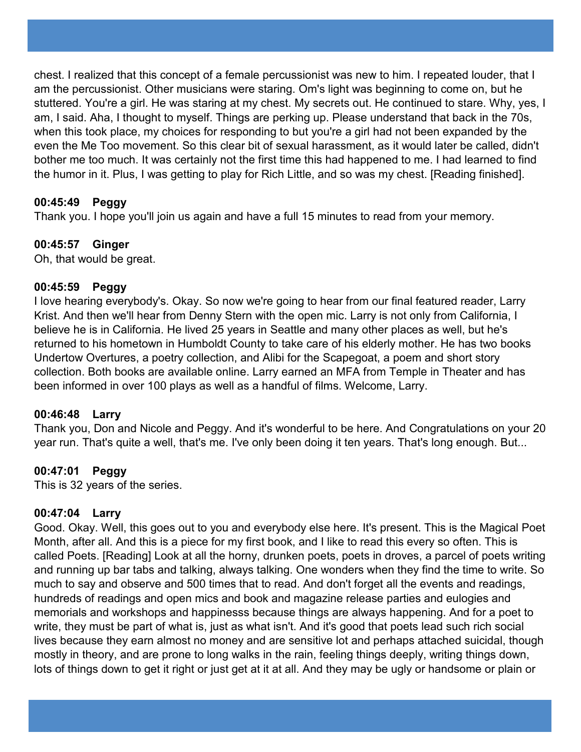chest. I realized that this concept of a female percussionist was new to him. I repeated louder, that I am the percussionist. Other musicians were staring. Om's light was beginning to come on, but he stuttered. You're a girl. He was staring at my chest. My secrets out. He continued to stare. Why, yes, I am, I said. Aha, I thought to myself. Things are perking up. Please understand that back in the 70s, when this took place, my choices for responding to but you're a girl had not been expanded by the even the Me Too movement. So this clear bit of sexual harassment, as it would later be called, didn't bother me too much. It was certainly not the first time this had happened to me. I had learned to find the humor in it. Plus, I was getting to play for Rich Little, and so was my chest. [Reading finished].

# **00:45:49 Peggy**

Thank you. I hope you'll join us again and have a full 15 minutes to read from your memory.

## **00:45:57 Ginger**

Oh, that would be great.

## **00:45:59 Peggy**

I love hearing everybody's. Okay. So now we're going to hear from our final featured reader, Larry Krist. And then we'll hear from Denny Stern with the open mic. Larry is not only from California, I believe he is in California. He lived 25 years in Seattle and many other places as well, but he's returned to his hometown in Humboldt County to take care of his elderly mother. He has two books Undertow Overtures, a poetry collection, and Alibi for the Scapegoat, a poem and short story collection. Both books are available online. Larry earned an MFA from Temple in Theater and has been informed in over 100 plays as well as a handful of films. Welcome, Larry.

## **00:46:48 Larry**

Thank you, Don and Nicole and Peggy. And it's wonderful to be here. And Congratulations on your 20 year run. That's quite a well, that's me. I've only been doing it ten years. That's long enough. But...

## **00:47:01 Peggy**

This is 32 years of the series.

## **00:47:04 Larry**

Good. Okay. Well, this goes out to you and everybody else here. It's present. This is the Magical Poet Month, after all. And this is a piece for my first book, and I like to read this every so often. This is called Poets. [Reading] Look at all the horny, drunken poets, poets in droves, a parcel of poets writing and running up bar tabs and talking, always talking. One wonders when they find the time to write. So much to say and observe and 500 times that to read. And don't forget all the events and readings, hundreds of readings and open mics and book and magazine release parties and eulogies and memorials and workshops and happinesss because things are always happening. And for a poet to write, they must be part of what is, just as what isn't. And it's good that poets lead such rich social lives because they earn almost no money and are sensitive lot and perhaps attached suicidal, though mostly in theory, and are prone to long walks in the rain, feeling things deeply, writing things down, lots of things down to get it right or just get at it at all. And they may be ugly or handsome or plain or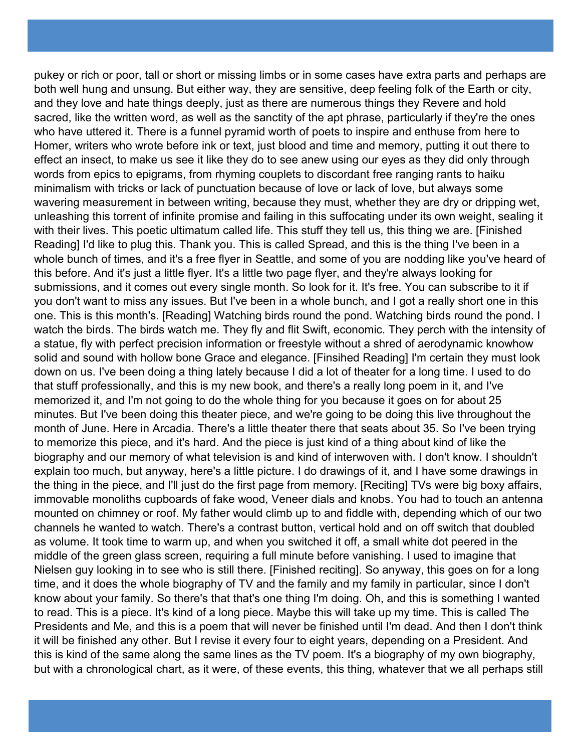pukey or rich or poor, tall or short or missing limbs or in some cases have extra parts and perhaps are both well hung and unsung. But either way, they are sensitive, deep feeling folk of the Earth or city, and they love and hate things deeply, just as there are numerous things they Revere and hold sacred, like the written word, as well as the sanctity of the apt phrase, particularly if they're the ones who have uttered it. There is a funnel pyramid worth of poets to inspire and enthuse from here to Homer, writers who wrote before ink or text, just blood and time and memory, putting it out there to effect an insect, to make us see it like they do to see anew using our eyes as they did only through words from epics to epigrams, from rhyming couplets to discordant free ranging rants to haiku minimalism with tricks or lack of punctuation because of love or lack of love, but always some wavering measurement in between writing, because they must, whether they are dry or dripping wet, unleashing this torrent of infinite promise and failing in this suffocating under its own weight, sealing it with their lives. This poetic ultimatum called life. This stuff they tell us, this thing we are. [Finished Reading] I'd like to plug this. Thank you. This is called Spread, and this is the thing I've been in a whole bunch of times, and it's a free flyer in Seattle, and some of you are nodding like you've heard of this before. And it's just a little flyer. It's a little two page flyer, and they're always looking for submissions, and it comes out every single month. So look for it. It's free. You can subscribe to it if you don't want to miss any issues. But I've been in a whole bunch, and I got a really short one in this one. This is this month's. [Reading] Watching birds round the pond. Watching birds round the pond. I watch the birds. The birds watch me. They fly and flit Swift, economic. They perch with the intensity of a statue, fly with perfect precision information or freestyle without a shred of aerodynamic knowhow solid and sound with hollow bone Grace and elegance. [Finsihed Reading] I'm certain they must look down on us. I've been doing a thing lately because I did a lot of theater for a long time. I used to do that stuff professionally, and this is my new book, and there's a really long poem in it, and I've memorized it, and I'm not going to do the whole thing for you because it goes on for about 25 minutes. But I've been doing this theater piece, and we're going to be doing this live throughout the month of June. Here in Arcadia. There's a little theater there that seats about 35. So I've been trying to memorize this piece, and it's hard. And the piece is just kind of a thing about kind of like the biography and our memory of what television is and kind of interwoven with. I don't know. I shouldn't explain too much, but anyway, here's a little picture. I do drawings of it, and I have some drawings in the thing in the piece, and I'll just do the first page from memory. [Reciting] TVs were big boxy affairs, immovable monoliths cupboards of fake wood, Veneer dials and knobs. You had to touch an antenna mounted on chimney or roof. My father would climb up to and fiddle with, depending which of our two channels he wanted to watch. There's a contrast button, vertical hold and on off switch that doubled as volume. It took time to warm up, and when you switched it off, a small white dot peered in the middle of the green glass screen, requiring a full minute before vanishing. I used to imagine that Nielsen guy looking in to see who is still there. [Finished reciting]. So anyway, this goes on for a long time, and it does the whole biography of TV and the family and my family in particular, since I don't know about your family. So there's that that's one thing I'm doing. Oh, and this is something I wanted to read. This is a piece. It's kind of a long piece. Maybe this will take up my time. This is called The Presidents and Me, and this is a poem that will never be finished until I'm dead. And then I don't think it will be finished any other. But I revise it every four to eight years, depending on a President. And this is kind of the same along the same lines as the TV poem. It's a biography of my own biography, but with a chronological chart, as it were, of these events, this thing, whatever that we all perhaps still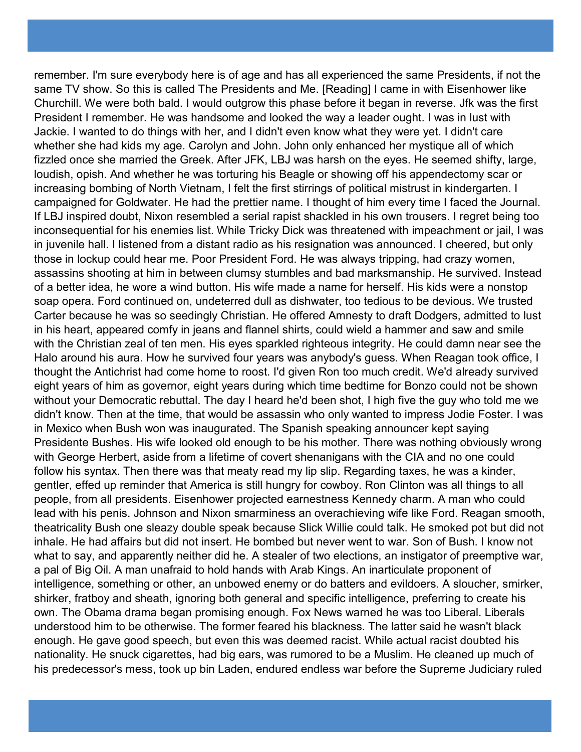remember. I'm sure everybody here is of age and has all experienced the same Presidents, if not the same TV show. So this is called The Presidents and Me. [Reading] I came in with Eisenhower like Churchill. We were both bald. I would outgrow this phase before it began in reverse. Jfk was the first President I remember. He was handsome and looked the way a leader ought. I was in lust with Jackie. I wanted to do things with her, and I didn't even know what they were yet. I didn't care whether she had kids my age. Carolyn and John. John only enhanced her mystique all of which fizzled once she married the Greek. After JFK, LBJ was harsh on the eyes. He seemed shifty, large, loudish, opish. And whether he was torturing his Beagle or showing off his appendectomy scar or increasing bombing of North Vietnam, I felt the first stirrings of political mistrust in kindergarten. I campaigned for Goldwater. He had the prettier name. I thought of him every time I faced the Journal. If LBJ inspired doubt, Nixon resembled a serial rapist shackled in his own trousers. I regret being too inconsequential for his enemies list. While Tricky Dick was threatened with impeachment or jail, I was in juvenile hall. I listened from a distant radio as his resignation was announced. I cheered, but only those in lockup could hear me. Poor President Ford. He was always tripping, had crazy women, assassins shooting at him in between clumsy stumbles and bad marksmanship. He survived. Instead of a better idea, he wore a wind button. His wife made a name for herself. His kids were a nonstop soap opera. Ford continued on, undeterred dull as dishwater, too tedious to be devious. We trusted Carter because he was so seedingly Christian. He offered Amnesty to draft Dodgers, admitted to lust in his heart, appeared comfy in jeans and flannel shirts, could wield a hammer and saw and smile with the Christian zeal of ten men. His eyes sparkled righteous integrity. He could damn near see the Halo around his aura. How he survived four years was anybody's guess. When Reagan took office, I thought the Antichrist had come home to roost. I'd given Ron too much credit. We'd already survived eight years of him as governor, eight years during which time bedtime for Bonzo could not be shown without your Democratic rebuttal. The day I heard he'd been shot, I high five the guy who told me we didn't know. Then at the time, that would be assassin who only wanted to impress Jodie Foster. I was in Mexico when Bush won was inaugurated. The Spanish speaking announcer kept saying Presidente Bushes. His wife looked old enough to be his mother. There was nothing obviously wrong with George Herbert, aside from a lifetime of covert shenanigans with the CIA and no one could follow his syntax. Then there was that meaty read my lip slip. Regarding taxes, he was a kinder, gentler, effed up reminder that America is still hungry for cowboy. Ron Clinton was all things to all people, from all presidents. Eisenhower projected earnestness Kennedy charm. A man who could lead with his penis. Johnson and Nixon smarminess an overachieving wife like Ford. Reagan smooth, theatricality Bush one sleazy double speak because Slick Willie could talk. He smoked pot but did not inhale. He had affairs but did not insert. He bombed but never went to war. Son of Bush. I know not what to say, and apparently neither did he. A stealer of two elections, an instigator of preemptive war, a pal of Big Oil. A man unafraid to hold hands with Arab Kings. An inarticulate proponent of intelligence, something or other, an unbowed enemy or do batters and evildoers. A sloucher, smirker, shirker, fratboy and sheath, ignoring both general and specific intelligence, preferring to create his own. The Obama drama began promising enough. Fox News warned he was too Liberal. Liberals understood him to be otherwise. The former feared his blackness. The latter said he wasn't black enough. He gave good speech, but even this was deemed racist. While actual racist doubted his nationality. He snuck cigarettes, had big ears, was rumored to be a Muslim. He cleaned up much of his predecessor's mess, took up bin Laden, endured endless war before the Supreme Judiciary ruled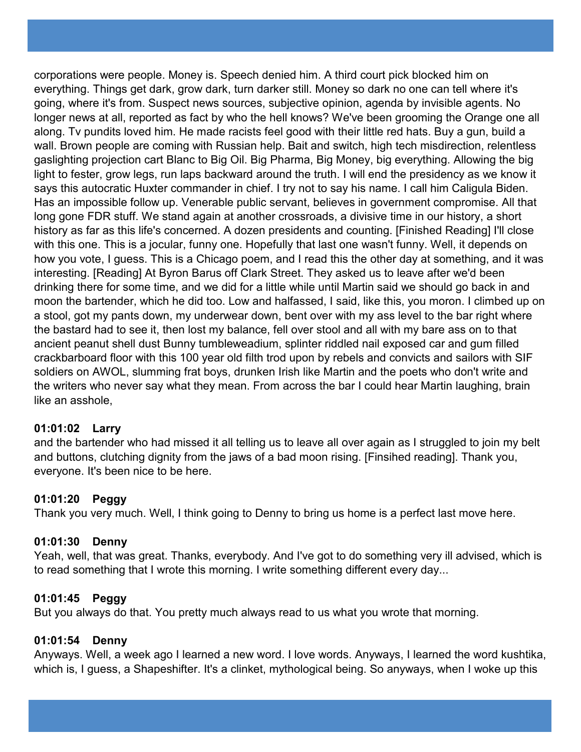corporations were people. Money is. Speech denied him. A third court pick blocked him on everything. Things get dark, grow dark, turn darker still. Money so dark no one can tell where it's going, where it's from. Suspect news sources, subjective opinion, agenda by invisible agents. No longer news at all, reported as fact by who the hell knows? We've been grooming the Orange one all along. Tv pundits loved him. He made racists feel good with their little red hats. Buy a gun, build a wall. Brown people are coming with Russian help. Bait and switch, high tech misdirection, relentless gaslighting projection cart Blanc to Big Oil. Big Pharma, Big Money, big everything. Allowing the big light to fester, grow legs, run laps backward around the truth. I will end the presidency as we know it says this autocratic Huxter commander in chief. I try not to say his name. I call him Caligula Biden. Has an impossible follow up. Venerable public servant, believes in government compromise. All that long gone FDR stuff. We stand again at another crossroads, a divisive time in our history, a short history as far as this life's concerned. A dozen presidents and counting. [Finished Reading] I'll close with this one. This is a jocular, funny one. Hopefully that last one wasn't funny. Well, it depends on how you vote, I guess. This is a Chicago poem, and I read this the other day at something, and it was interesting. [Reading] At Byron Barus off Clark Street. They asked us to leave after we'd been drinking there for some time, and we did for a little while until Martin said we should go back in and moon the bartender, which he did too. Low and halfassed, I said, like this, you moron. I climbed up on a stool, got my pants down, my underwear down, bent over with my ass level to the bar right where the bastard had to see it, then lost my balance, fell over stool and all with my bare ass on to that ancient peanut shell dust Bunny tumbleweadium, splinter riddled nail exposed car and gum filled crackbarboard floor with this 100 year old filth trod upon by rebels and convicts and sailors with SIF soldiers on AWOL, slumming frat boys, drunken Irish like Martin and the poets who don't write and the writers who never say what they mean. From across the bar I could hear Martin laughing, brain like an asshole,

## **01:01:02 Larry**

and the bartender who had missed it all telling us to leave all over again as I struggled to join my belt and buttons, clutching dignity from the jaws of a bad moon rising. [Finsihed reading]. Thank you, everyone. It's been nice to be here.

## **01:01:20 Peggy**

Thank you very much. Well, I think going to Denny to bring us home is a perfect last move here.

## **01:01:30 Denny**

Yeah, well, that was great. Thanks, everybody. And I've got to do something very ill advised, which is to read something that I wrote this morning. I write something different every day...

## **01:01:45 Peggy**

But you always do that. You pretty much always read to us what you wrote that morning.

## **01:01:54 Denny**

Anyways. Well, a week ago I learned a new word. I love words. Anyways, I learned the word kushtika, which is, I guess, a Shapeshifter. It's a clinket, mythological being. So anyways, when I woke up this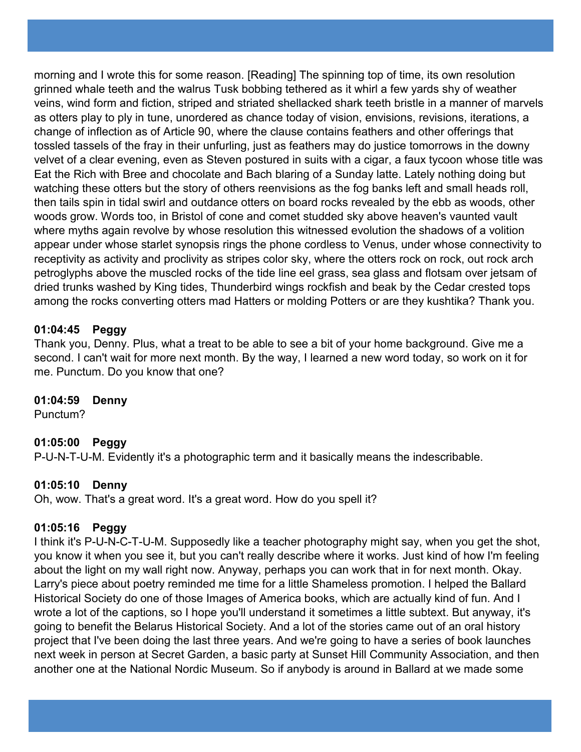morning and I wrote this for some reason. [Reading] The spinning top of time, its own resolution grinned whale teeth and the walrus Tusk bobbing tethered as it whirl a few yards shy of weather veins, wind form and fiction, striped and striated shellacked shark teeth bristle in a manner of marvels as otters play to ply in tune, unordered as chance today of vision, envisions, revisions, iterations, a change of inflection as of Article 90, where the clause contains feathers and other offerings that tossled tassels of the fray in their unfurling, just as feathers may do justice tomorrows in the downy velvet of a clear evening, even as Steven postured in suits with a cigar, a faux tycoon whose title was Eat the Rich with Bree and chocolate and Bach blaring of a Sunday latte. Lately nothing doing but watching these otters but the story of others reenvisions as the fog banks left and small heads roll, then tails spin in tidal swirl and outdance otters on board rocks revealed by the ebb as woods, other woods grow. Words too, in Bristol of cone and comet studded sky above heaven's vaunted vault where myths again revolve by whose resolution this witnessed evolution the shadows of a volition appear under whose starlet synopsis rings the phone cordless to Venus, under whose connectivity to receptivity as activity and proclivity as stripes color sky, where the otters rock on rock, out rock arch petroglyphs above the muscled rocks of the tide line eel grass, sea glass and flotsam over jetsam of dried trunks washed by King tides, Thunderbird wings rockfish and beak by the Cedar crested tops among the rocks converting otters mad Hatters or molding Potters or are they kushtika? Thank you.

## **01:04:45 Peggy**

Thank you, Denny. Plus, what a treat to be able to see a bit of your home background. Give me a second. I can't wait for more next month. By the way, I learned a new word today, so work on it for me. Punctum. Do you know that one?

# **01:04:59 Denny**

Punctum?

## **01:05:00 Peggy**

P-U-N-T-U-M. Evidently it's a photographic term and it basically means the indescribable.

## **01:05:10 Denny**

Oh, wow. That's a great word. It's a great word. How do you spell it?

## **01:05:16 Peggy**

I think it's P-U-N-C-T-U-M. Supposedly like a teacher photography might say, when you get the shot, you know it when you see it, but you can't really describe where it works. Just kind of how I'm feeling about the light on my wall right now. Anyway, perhaps you can work that in for next month. Okay. Larry's piece about poetry reminded me time for a little Shameless promotion. I helped the Ballard Historical Society do one of those Images of America books, which are actually kind of fun. And I wrote a lot of the captions, so I hope you'll understand it sometimes a little subtext. But anyway, it's going to benefit the Belarus Historical Society. And a lot of the stories came out of an oral history project that I've been doing the last three years. And we're going to have a series of book launches next week in person at Secret Garden, a basic party at Sunset Hill Community Association, and then another one at the National Nordic Museum. So if anybody is around in Ballard at we made some